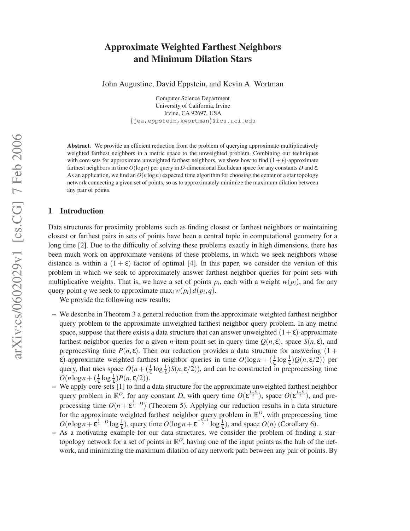# arXiv:cs/0602029v1 [cs.CG] 7 Feb 2006 arXiv:cs/0602029v1 [cs.CG] 7 Feb 2006

# **Approximate Weighted Farthest Neighbors and Minimum Dilation Stars**

John Augustine, David Eppstein, and Kevin A. Wortman

Computer Science Department University of California, Irvine Irvine, CA 92697, USA {jea,eppstein,kwortman}@ics.uci.edu

**Abstract.** We provide an efficient reduction from the problem of querying approximate multiplicatively weighted farthest neighbors in a metric space to the unweighted problem. Combining our techniques with core-sets for approximate unweighted farthest neighbors, we show how to find  $(1+\epsilon)$ -approximate farthest neighbors in time *O*(log*n*) per query in *D*-dimensional Euclidean space for any constants *D* and ε. As an application, we find an  $O(n \log n)$  expected time algorithm for choosing the center of a star topology network connecting a given set of points, so as to approximately minimize the maximum dilation between any pair of points.

# **1 Introduction**

Data structures for proximity problems such as finding closest or farthest neighbors or maintaining closest or farthest pairs in sets of points have been a central topic in computational geometry for a long time [2]. Due to the difficulty of solving these problems exactly in high dimensions, there has been much work on approximate versions of these problems, in which we seek neighbors whose distance is within a  $(1 + \varepsilon)$  factor of optimal [4]. In this paper, we consider the version of this problem in which we seek to approximately answer farthest neighbor queries for point sets with multiplicative weights. That is, we have a set of points  $p_i$ , each with a weight  $w(p_i)$ , and for any query point *q* we seek to approximate  $\max_i w(p_i) d(p_i, q)$ .

We provide the following new results:

- **–** We describe in Theorem 3 a general reduction from the approximate weighted farthest neighbor query problem to the approximate unweighted farthest neighbor query problem. In any metric space, suppose that there exists a data structure that can answer unweighted  $(1+\epsilon)$ -approximate farthest neighbor queries for a given *n*-item point set in query time  $O(n, \varepsilon)$ , space  $S(n, \varepsilon)$ , and preprocessing time  $P(n, \varepsilon)$ . Then our reduction provides a data structure for answering (1 +  $\epsilon$ )-approximate weighted farthest neighbor queries in time  $O(\log n + (\frac{1}{\epsilon} \log \frac{1}{\epsilon})Q(n,\epsilon/2))$  per query, that uses space  $O(n + (\frac{1}{\epsilon} \log \frac{1}{\epsilon}) S(n, \epsilon/2))$ , and can be constructed in preprocessing time  $O(n \log n + (\frac{1}{\varepsilon} \log \frac{1}{\varepsilon}) P(n, \varepsilon/2)).$
- **–** We apply core-sets [1] to find a data structure for the approximate unweighted farthest neighbor query problem in  $\mathbb{R}^D$ , for any constant *D*, with query time  $O(\varepsilon^{\frac{1-D}{2}})$ , space  $O(\varepsilon^{\frac{1-D}{2}})$ , and preprocessing time  $O(n + \epsilon^{\frac{3}{2} - D})$  (Theorem 5). Applying our reduction results in a data structure for the approximate weighted farthest neighbor query problem in  $\mathbb{R}^D$ , with preprocessing time  $O(n \log n + \epsilon^{\frac{1}{2}-D} \log \frac{1}{\epsilon})$ , query time  $O(\log n + \epsilon^{\frac{-D-1}{2}} \log \frac{1}{\epsilon})$ , and space  $O(n)$  (Corollary 6).
- **–** As a motivating example for our data structures, we consider the problem of finding a startopology network for a set of points in  $\mathbb{R}^D$ , having one of the input points as the hub of the network, and minimizing the maximum dilation of any network path between any pair of points. By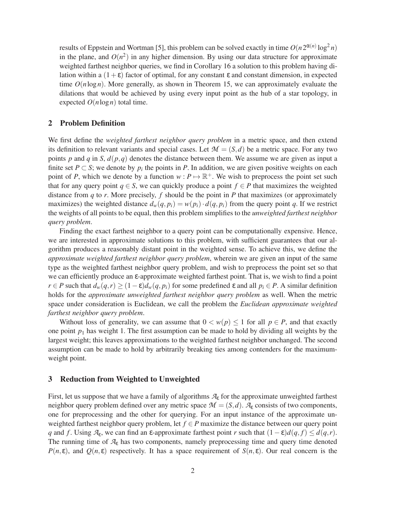results of Eppstein and Wortman [5], this problem can be solved exactly in time  $O(n 2^{\alpha(n)} \log^2 n)$ in the plane, and  $O(n^2)$  in any higher dimension. By using our data structure for approximate weighted farthest neighbor queries, we find in Corollary 16 a solution to this problem having dilation within a  $(1+\epsilon)$  factor of optimal, for any constant  $\epsilon$  and constant dimension, in expected time  $O(n \log n)$ . More generally, as shown in Theorem 15, we can approximately evaluate the dilations that would be achieved by using every input point as the hub of a star topology, in expected  $O(n \log n)$  total time.

# **2 Problem Definition**

We first define the *weighted farthest neighbor query problem* in a metric space, and then extend its definition to relevant variants and special cases. Let  $\mathcal{M} = (S, d)$  be a metric space. For any two points *p* and *q* in *S*,  $d(p,q)$  denotes the distance between them. We assume we are given as input a finite set  $P \subset S$ ; we denote by  $p_i$  the points in  $P$ . In addition, we are given positive weights on each point of *P*, which we denote by a function  $w : P \mapsto \mathbb{R}^+$ . We wish to preprocess the point set such that for any query point  $q \in S$ , we can quickly produce a point  $f \in P$  that maximizes the weighted distance from *q* to *r*. More precisely, *f* should be the point in *P* that maximizes (or approximately maximizes) the weighted distance  $d_w(q, p_i) = w(p_i) \cdot d(q, p_i)$  from the query point *q*. If we restrict the weights of all points to be equal, then this problem simplifies to the *unweighted farthest neighbor query problem*.

Finding the exact farthest neighbor to a query point can be computationally expensive. Hence, we are interested in approximate solutions to this problem, with sufficient guarantees that our algorithm produces a reasonably distant point in the weighted sense. To achieve this, we define the *approximate weighted farthest neighbor query problem*, wherein we are given an input of the same type as the weighted farthest neighbor query problem, and wish to preprocess the point set so that we can efficiently produce an ε-approximate weighted farthest point. That is, we wish to find a point  $r \in P$  such that  $d_w(q, r) \geq (1 - \varepsilon) d_w(q, p_i)$  for some predefined  $\varepsilon$  and all  $p_i \in P$ . A similar definition holds for the *approximate unweighted farthest neighbor query problem* as well. When the metric space under consideration is Euclidean, we call the problem the *Euclidean approximate weighted farthest neighbor query problem*.

Without loss of generality, we can assume that  $0 < w(p) \le 1$  for all  $p \in P$ , and that exactly one point  $p_1$  has weight 1. The first assumption can be made to hold by dividing all weights by the largest weight; this leaves approximations to the weighted farthest neighbor unchanged. The second assumption can be made to hold by arbitrarily breaking ties among contenders for the maximumweight point.

### **3 Reduction from Weighted to Unweighted**

First, let us suppose that we have a family of algorithms *A*<sup>ε</sup> for the approximate unweighted farthest neighbor query problem defined over any metric space  $\mathcal{M} = (S, d)$ .  $\mathcal{A}_{\varepsilon}$  consists of two components, one for preprocessing and the other for querying. For an input instance of the approximate unweighted farthest neighbor query problem, let *f* ∈ *P* maximize the distance between our query point *q* and *f*. Using  $A$ <sub>ε</sub>, we can find an ε-approximate farthest point *r* such that  $(1 - \varepsilon)d(q, f) \leq d(q, r)$ . The running time of  $A_{\varepsilon}$  has two components, namely preprocessing time and query time denoted *P*(*n*,ε), and *Q*(*n*,ε) respectively. It has a space requirement of *S*(*n*,ε). Our real concern is the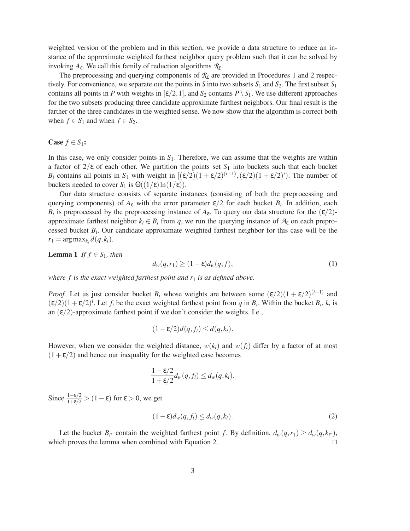weighted version of the problem and in this section, we provide a data structure to reduce an instance of the approximate weighted farthest neighbor query problem such that it can be solved by invoking *A*ε. We call this family of reduction algorithms *R*ε.

The preprocessing and querying components of *R*<sup>ε</sup> are provided in Procedures 1 and 2 respectively. For convenience, we separate out the points in *S* into two subsets  $S_1$  and  $S_2$ . The first subset  $S_1$ contains all points in *P* with weights in  $[\varepsilon/2, 1]$ , and  $S_2$  contains  $P \setminus S_1$ . We use different approaches for the two subsets producing three candidate approximate farthest neighbors. Our final result is the farther of the three candidates in the weighted sense. We now show that the algorithm is correct both when  $f \in S_1$  and when  $f \in S_2$ .

### **Case**  $f \in S_1$ :

In this case, we only consider points in *S*1. Therefore, we can assume that the weights are within a factor of  $2/\epsilon$  of each other. We partition the points set  $S_1$  into buckets such that each bucket *B*<sup>*i*</sup> contains all points in *S*<sub>1</sub> with weight in  $[(\varepsilon/2)(1 + \varepsilon/2)^{(i-1)}, (\varepsilon/2)(1 + \varepsilon/2)^i)$ . The number of buckets needed to cover *S*<sub>1</sub> is  $\Theta((1/\epsilon)\ln(1/\epsilon))$ .

Our data structure consists of separate instances (consisting of both the preprocessing and querying components) of  $A_{\varepsilon}$  with the error parameter  $\varepsilon/2$  for each bucket  $B_i$ . In addition, each  $B_i$  is preprocessed by the preprocessing instance of  $A_{\varepsilon}$ . To query our data structure for the  $(\varepsilon/2)$ approximate farthest neighbor  $k_i \in B_i$  from q, we run the querying instance of  $A_{\epsilon}$  on each preprocessed bucket  $B_i$ . Our candidate approximate weighted farthest neighbor for this case will be the  $r_1 = \arg \max_{k_i} d(q, k_i).$ 

**Lemma 1** *If*  $f \in S_1$ *, then* 

$$
d_w(q, r_1) \ge (1 - \varepsilon) d_w(q, f), \tag{1}
$$

*where f is the exact weighted farthest point and r<sub>1</sub> <i>is as defined above.* 

*Proof.* Let us just consider bucket  $B_i$  whose weights are between some  $(\varepsilon/2)(1 + \varepsilon/2)^{(i-1)}$  and  $(\varepsilon/2)(1+\varepsilon/2)^i$ . Let  $f_i$  be the exact weighted farthest point from *q* in  $B_i$ . Within the bucket  $B_i$ ,  $k_i$  is an  $(\varepsilon/2)$ -approximate farthest point if we don't consider the weights. I.e.,

$$
(1 - \varepsilon/2)d(q, f_i) \leq d(q, k_i).
$$

However, when we consider the weighted distance,  $w(k_i)$  and  $w(f_i)$  differ by a factor of at most  $(1+\epsilon/2)$  and hence our inequality for the weighted case becomes

$$
\frac{1-\varepsilon/2}{1+\varepsilon/2}d_w(q,f_i)\leq d_w(q,k_i).
$$

Since  $\frac{1-\epsilon/2}{1+\epsilon/2}$  >  $(1-\epsilon)$  for  $\epsilon$  > 0, we get

$$
(1 - \varepsilon) d_w(q, f_i) \le d_w(q, k_i). \tag{2}
$$

Let the bucket  $B_i^*$  contain the weighted farthest point *f*. By definition,  $d_w(q, r_1) \ge d_w(q, k_i^*)$ , which proves the lemma when combined with Equation 2.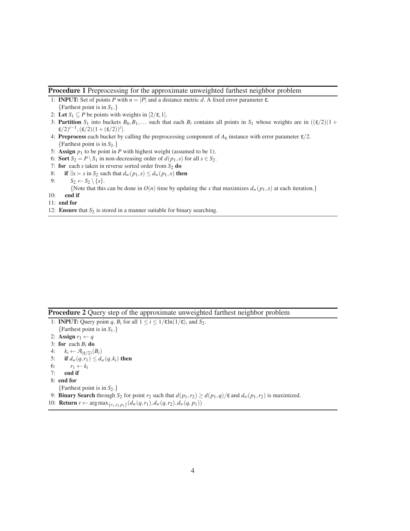### **Procedure 1** Preprocessing for the approximate unweighted farthest neighbor problem

- 1: **INPUT:** Set of points *P* with *n* = |*P*| and a distance metric *d*. A fixed error parameter ε. {Farthest point is in *S*1.}
- 2: Let  $S_1 \subseteq P$  be points with weights in  $[2/\varepsilon, 1]$ .
- 3: **Partition**  $S_1$  into buckets  $B_0, B_1, \ldots$  such that each  $B_i$  contains all points in  $S_1$  whose weights are in  $((\varepsilon/2)(1 +$  $\varepsilon/2$ <sup>*i*−1</sup>,  $(\varepsilon/2)(1+(\varepsilon/2))^i$ ].
- 4: **Preprocess** each bucket by calling the preprocessing component of  $A_{\varepsilon}$  instance with error parameter  $\varepsilon/2$ . {Farthest point is in *S*2.}
- 5: **Assign**  $p_1$  to be point in  $P$  with highest weight (assumed to be 1).
- 6: **Sort**  $S_2 = P \setminus S_1$  in non-decreasing order of  $d(p_1, s)$  for all  $s \in S_2$ .
- 7: **for** each *s* taken in reverse sorted order from  $S_2$  **do**
- 8: **if** ∃*x* ≻ *s* in *S*<sub>2</sub> such that  $d_w(p_1, s) \le d_w(p_1, x)$  then

9: 
$$
S_2 \leftarrow S_2 \setminus \{s\}.
$$

{Note that this can be done in  $O(n)$  time by updating the *x* that maximizes  $d_w(p_1, x)$  at each iteration.}

- 10: **end if**
- 11: **end for**
- 12: **Ensure** that  $S_2$  is stored in a manner suitable for binary searching.

|  |  |  |  |  | <b>Procedure 2</b> Query step of the approximate unweighted farthest neighbor problem |  |
|--|--|--|--|--|---------------------------------------------------------------------------------------|--|
|--|--|--|--|--|---------------------------------------------------------------------------------------|--|

1: **INPUT:** Query point *q*,  $B_i$  for all  $1 \le i \le 1/\epsilon \ln(1/\epsilon)$ , and  $S_2$ .

- {Farthest point is in *S*1.}
- 2: **Assign**  $r_1 \leftarrow q$
- 3: **for** each  $B_i$  **do**
- 4:  $k_i \leftarrow \mathcal{A}_{(\varepsilon/2)}(B_i)$
- 5: **if**  $d_w(q, r_1) \leq d_w(q, k_i)$  then
- 6:  $r_1 \leftarrow k_i$
- 7: **end if**
- 8: **end for**
- {Farthest point is in *S*2.}

9: **Binary Search** through  $S_2$  for point  $r_2$  such that  $d(p_1, r_2) \geq d(p_1, q)/\varepsilon$  and  $d_w(p_1, r_2)$  is maximized.

10: **Return** *r* ← arg max<sub>{*r*1,*r*<sub>2</sub> *p*<sub>1</sub>}</sub> ( $d_w(q, r_1)$ ,  $d_w(q, r_2)$ ,  $d_w(q, p_1)$ )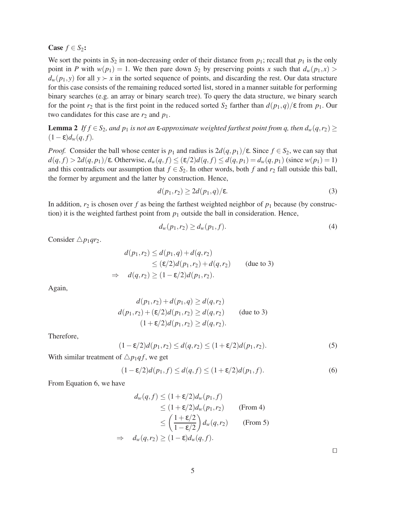**Case**  $f \in S_2$ :

We sort the points in  $S_2$  in non-decreasing order of their distance from  $p_1$ ; recall that  $p_1$  is the only point in *P* with  $w(p_1) = 1$ . We then pare down  $S_2$  by preserving points *x* such that  $d_w(p_1, x)$  $d_w(p_1, y)$  for all  $y \succ x$  in the sorted sequence of points, and discarding the rest. Our data structure for this case consists of the remaining reduced sorted list, stored in a manner suitable for performing binary searches (e.g. an array or binary search tree). To query the data structure, we binary search for the point  $r_2$  that is the first point in the reduced sorted  $S_2$  farther than  $d(p_1, q)/\varepsilon$  from  $p_1$ . Our two candidates for this case are  $r_2$  and  $p_1$ .

**Lemma 2** *If*  $f \in S_2$ , and  $p_1$  *is not an*  $\varepsilon$ -approximate weighted farthest point from q, then  $d_w(q, r_2) \ge$  $(1-\varepsilon)d_w(q, f)$ .

*Proof.* Consider the ball whose center is  $p_1$  and radius is  $2d(q, p_1)/\varepsilon$ . Since  $f \in S_2$ , we can say that  $d(q, f) > 2d(q, p_1)/\epsilon$ . Otherwise,  $d_w(q, f) \leq (\epsilon/2)d(q, f) \leq d(q, p_1) = d_w(q, p_1)$  (since  $w(p_1) = 1$ ) and this contradicts our assumption that  $f \in S_2$ . In other words, both *f* and  $r_2$  fall outside this ball, the former by argument and the latter by construction. Hence,

$$
d(p_1, r_2) \ge 2d(p_1, q)/\varepsilon. \tag{3}
$$

In addition,  $r_2$  is chosen over f as being the farthest weighted neighbor of  $p_1$  because (by construction) it is the weighted farthest point from  $p_1$  outside the ball in consideration. Hence,

$$
d_w(p_1, r_2) \ge d_w(p_1, f). \tag{4}
$$

Consider  $\triangle p_1qr_2$ .

$$
d(p_1, r_2) \le d(p_1, q) + d(q, r_2)
$$
  
\n
$$
\le (\varepsilon/2)d(p_1, r_2) + d(q, r_2) \quad \text{(due to 3)}
$$
  
\n
$$
\Rightarrow d(q, r_2) \ge (1 - \varepsilon/2)d(p_1, r_2).
$$

Again,

$$
d(p_1, r_2) + d(p_1, q) \ge d(q, r_2)
$$
  
\n
$$
d(p_1, r_2) + (\varepsilon/2)d(p_1, r_2) \ge d(q, r_2)
$$
 (due to 3)  
\n
$$
(1 + \varepsilon/2)d(p_1, r_2) \ge d(q, r_2).
$$

Therefore,

$$
(1 - \varepsilon/2)d(p_1, r_2) \le d(q, r_2) \le (1 + \varepsilon/2)d(p_1, r_2). \tag{5}
$$

With similar treatment of  $\triangle p_1qf$ , we get

$$
(1 - \varepsilon/2)d(p_1, f) \le d(q, f) \le (1 + \varepsilon/2)d(p_1, f). \tag{6}
$$

From Equation 6, we have

$$
d_w(q, f) \le (1 + \varepsilon/2) d_w(p_1, f)
$$
  
\n
$$
\le (1 + \varepsilon/2) d_w(p_1, r_2)
$$
 (From 4)  
\n
$$
\le \left(\frac{1 + \varepsilon/2}{1 - \varepsilon/2}\right) d_w(q, r_2)
$$
 (From 5)  
\n
$$
\Rightarrow d_w(q, r_2) \ge (1 - \varepsilon) d_w(q, f).
$$

⊓⊔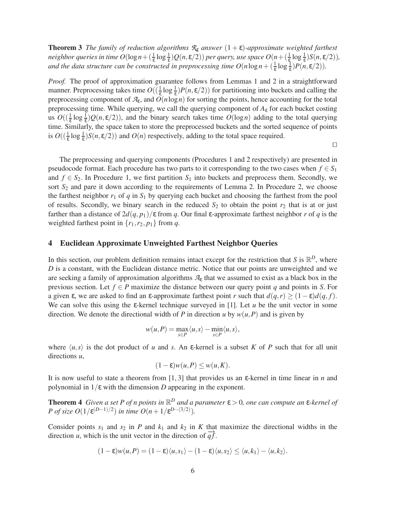**Theorem 3** *The family of reduction algorithms*  $\mathcal{R}_{\varepsilon}$  *answer*  $(1+\varepsilon)$ *-approximate weighted farthest neighbor queries in time O*(log  $n+(\frac{1}{\epsilon}\log\frac{1}{\epsilon})Q(n,\epsilon/2)$ ) per query, use space  $O(n+(\frac{1}{\epsilon}\log\frac{1}{\epsilon})S(n,\epsilon/2)),$ *and the data structure can be constructed in preprocessing time*  $O(n \log n + (\frac{1}{\epsilon} \log \frac{1}{\epsilon}) P(n, \epsilon/2))$ *.* 

*Proof.* The proof of approximation guarantee follows from Lemmas 1 and 2 in a straightforward manner. Preprocessing takes time  $O((\frac{1}{\epsilon} \log \frac{1}{\epsilon})P(n, \epsilon/2))$  for partitioning into buckets and calling the preprocessing component of  $A_{\epsilon}$ , and  $O(n \log n)$  for sorting the points, hence accounting for the total preprocessing time. While querying, we call the querying component of  $A_{\varepsilon}$  for each bucket costing us  $O((\frac{1}{\epsilon} \log \frac{1}{\epsilon})Q(n,\epsilon/2))$ , and the binary search takes time  $O(\log n)$  adding to the total querying time. Similarly, the space taken to store the preprocessed buckets and the sorted sequence of points is  $O((\frac{1}{\epsilon} \log \frac{1}{\epsilon}) S(n, \epsilon/2))$  and  $O(n)$  respectively, adding to the total space required.

⊓⊔

The preprocessing and querying components (Procedures 1 and 2 respectively) are presented in pseudocode format. Each procedure has two parts to it corresponding to the two cases when  $f \in S_1$ and  $f \in S_2$ . In Procedure 1, we first partition  $S_1$  into buckets and preprocess them. Secondly, we sort  $S_2$  and pare it down according to the requirements of Lemma 2. In Procedure 2, we choose the farthest neighbor  $r_1$  of  $q$  in  $S_1$  by querying each bucket and choosing the farthest from the pool of results. Secondly, we binary search in the reduced  $S_2$  to obtain the point  $r_2$  that is at or just farther than a distance of  $2d(q, p_1)/\epsilon$  from *q*. Our final  $\epsilon$ -approximate farthest neighbor *r* of *q* is the weighted farthest point in  $\{r_1, r_2, p_1\}$  from *q*.

# **4 Euclidean Approximate Unweighted Farthest Neighbor Queries**

In this section, our problem definition remains intact except for the restriction that *S* is  $\mathbb{R}^D$ , where *D* is a constant, with the Euclidean distance metric. Notice that our points are unweighted and we are seeking a family of approximation algorithms  $\mathcal{A}_{\varepsilon}$  that we assumed to exist as a black box in the previous section. Let  $f \in P$  maximize the distance between our query point *q* and points in *S*. For a given  $\varepsilon$ , we are asked to find an  $\varepsilon$ -approximate farthest point *r* such that  $d(q, r) \geq (1 - \varepsilon)d(q, f)$ . We can solve this using the  $\varepsilon$ -kernel technique surveyed in [1]. Let *u* be the unit vector in some direction. We denote the directional width of *P* in direction *u* by  $w(u, P)$  and is given by

$$
w(u,P) = \max_{s \in P} \langle u, s \rangle - \min_{s \in P} \langle u, s \rangle,
$$

where  $\langle u, s \rangle$  is the dot product of *u* and *s*. An *ε*-kernel is a subset *K* of *P* such that for all unit directions *u*,

$$
(1 - \varepsilon)w(u, P) \le w(u, K).
$$

It is now useful to state a theorem from [1, 3] that provides us an ε-kernel in time linear in *n* and polynomial in  $1/\epsilon$  with the dimension *D* appearing in the exponent.

**Theorem 4** Given a set P of n points in  $\mathbb{R}^D$  and a parameter  $\varepsilon > 0$ , one can compute an  $\varepsilon$ -kernel of *P* of size  $O(1/\epsilon^{(D-1)/2})$  in time  $O(n+1/\epsilon^{D-(3/2)})$ .

Consider points  $s_1$  and  $s_2$  in *P* and  $k_1$  and  $k_2$  in *K* that maximize the directional widths in the direction *u*, which is the unit vector in the direction of  $\overline{q}f$ .

$$
(1-\varepsilon)w(u,P)=(1-\varepsilon)\langle u,s_1\rangle-(1-\varepsilon)\langle u,s_2\rangle\leq\langle u,k_1\rangle-\langle u,k_2\rangle.
$$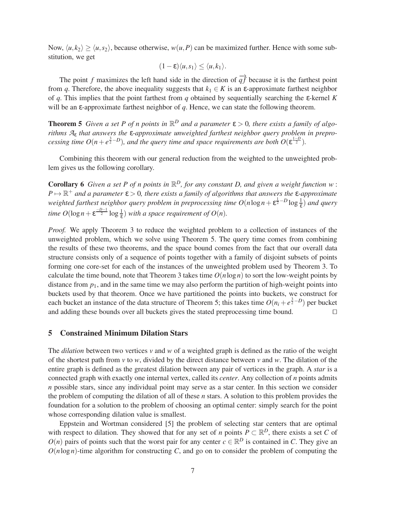Now,  $\langle u, k_2 \rangle \ge \langle u, s_2 \rangle$ , because otherwise,  $w(u, P)$  can be maximized further. Hence with some substitution, we get

$$
(1-\varepsilon)\langle u,s_1\rangle\leq \langle u,k_1\rangle.
$$

The point *f* maximizes the left hand side in the direction of  $\overrightarrow{q}$  because it is the farthest point from *q*. Therefore, the above inequality suggests that  $k_1 \in K$  is an  $\varepsilon$ -approximate farthest neighbor of *q*. This implies that the point farthest from *q* obtained by sequentially searching the ε-kernel *K* will be an ε-approximate farthest neighbor of *q*. Hence, we can state the following theorem.

**Theorem 5** *Given a set P of n points in*  $\mathbb{R}^D$  *and a parameter*  $\varepsilon > 0$ *, there exists a family of algorithms A*<sup>ε</sup> *that answers the* ε*-approximate unweighted farthest neighbor query problem in preprocessing time O*( $n + e^{\frac{3}{2} - D}$ )*, and the query time and space requirements are both O*( $\varepsilon^{\frac{1-D}{2}}$ ).

Combining this theorem with our general reduction from the weighted to the unweighted problem gives us the following corollary.

**Corollary 6** Given a set P of n points in  $\mathbb{R}^D$ , for any constant D, and given a weight function w:  $P \mapsto \mathbb{R}^+$  *and a parameter*  $\varepsilon > 0$ , there exists a family of algorithms that answers the  $\varepsilon$ -approximate *weighted farthest neighbor query problem in preprocessing time*  $O(n \log n + \epsilon^{\frac{1}{2} - D} \log \frac{1}{\epsilon})$  *and query time*  $O(\log n + \varepsilon^{\frac{-D-1}{2}} \log \frac{1}{\varepsilon})$  *with a space requirement of O*(*n*)*.* 

*Proof.* We apply Theorem 3 to reduce the weighted problem to a collection of instances of the unweighted problem, which we solve using Theorem 5. The query time comes from combining the results of these two theorems, and the space bound comes from the fact that our overall data structure consists only of a sequence of points together with a family of disjoint subsets of points forming one core-set for each of the instances of the unweighted problem used by Theorem 3. To calculate the time bound, note that Theorem 3 takes time  $O(n \log n)$  to sort the low-weight points by distance from  $p_1$ , and in the same time we may also perform the partition of high-weight points into buckets used by that theorem. Once we have partitioned the points into buckets, we construct for each bucket an instance of the data structure of Theorem 5; this takes time  $O(n_i + e^{\frac{3}{2}-D})$  per bucket and adding these bounds over all buckets gives the stated preprocessing time bound. ⊓⊔

## **5 Constrained Minimum Dilation Stars**

The *dilation* between two vertices  $v$  and  $w$  of a weighted graph is defined as the ratio of the weight of the shortest path from *v* to *w*, divided by the direct distance between *v* and *w*. The dilation of the entire graph is defined as the greatest dilation between any pair of vertices in the graph. A *star* is a connected graph with exactly one internal vertex, called its *center*. Any collection of *n* points admits *n* possible stars, since any individual point may serve as a star center. In this section we consider the problem of computing the dilation of all of these *n* stars. A solution to this problem provides the foundation for a solution to the problem of choosing an optimal center: simply search for the point whose corresponding dilation value is smallest.

Eppstein and Wortman considered [5] the problem of selecting star centers that are optimal with respect to dilation. They showed that for any set of *n* points  $P \subset \mathbb{R}^D$ , there exists a set *C* of  $O(n)$  pairs of points such that the worst pair for any center  $c \in \mathbb{R}^D$  is contained in *C*. They give an  $O(n \log n)$ -time algorithm for constructing *C*, and go on to consider the problem of computing the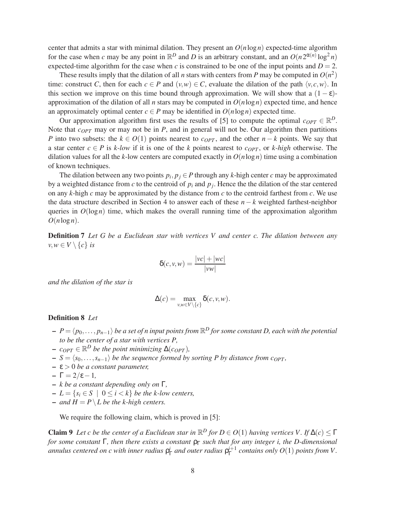center that admits a star with minimal dilation. They present an  $O(n \log n)$  expected-time algorithm for the case when *c* may be any point in  $\mathbb{R}^D$  and *D* is an arbitrary constant, and an  $O(n 2^{\alpha(n)} \log^2 n)$ expected-time algorithm for the case when *c* is constrained to be one of the input points and  $D = 2$ .

These results imply that the dilation of all *n* stars with centers from *P* may be computed in  $O(n^2)$ time: construct *C*, then for each  $c \in P$  and  $(v, w) \in C$ , evaluate the dilation of the path  $\langle v, c, w \rangle$ . In this section we improve on this time bound through approximation. We will show that a  $(1 - \varepsilon)$ approximation of the dilation of all *n* stars may be computed in  $O(n \log n)$  expected time, and hence an approximately optimal center  $c \in P$  may be identified in  $O(n \log n)$  expected time.

Our approximation algorithm first uses the results of [5] to compute the optimal  $c_{OPT} \in \mathbb{R}^D$ . Note that *cOPT* may or may not be in *P*, and in general will not be. Our algorithm then partitions *P* into two subsets: the  $k \in O(1)$  points nearest to  $c_{OPT}$ , and the other  $n - k$  points. We say that a star center  $c \in P$  is *k-low* if it is one of the *k* points nearest to  $c_{OPT}$ , or *k-high* otherwise. The dilation values for all the *k*-low centers are computed exactly in  $O(n \log n)$  time using a combination of known techniques.

The dilation between any two points  $p_i, p_j \in P$  through any *k*-high center *c* may be approximated by a weighted distance from  $c$  to the centroid of  $p_i$  and  $p_j$ . Hence the the dilation of the star centered on any *k*-high *c* may be approximated by the distance from *c* to the centroid farthest from *c*. We use the data structure described in Section 4 to answer each of these *n*− *k* weighted farthest-neighbor queries in  $O(log n)$  time, which makes the overall running time of the approximation algorithm  $O(n \log n)$ .

**Definition 7** *Let G be a Euclidean star with vertices V and center c. The dilation between any*  $v, w \in V \setminus \{c\}$  *is* 

$$
\delta(c, v, w) = \frac{|vc| + |wc|}{|vw|}
$$

*and the dilation of the star is*

$$
\Delta(c) = \max_{v,w \in V \setminus \{c\}} \delta(c,v,w).
$$

### **Definition 8** *Let*

- **–** *P* = h*p*0,..., *pn*−1i *be a set of n input points from* R *<sup>D</sup> for some constant D, each with the potential to be the center of a star with vertices P,*
- $\rho c_{OPT} \in \mathbb{R}^D$  *be the point minimizing*  $\Delta(c_{OPT})$ *,*
- $\mathbf{S} = \langle s_0, \ldots, s_{n-1} \rangle$  *be the sequence formed by sorting P by distance from c<sub>OPT</sub>*,
- **–** ε > 0 *be a constant parameter,*
- **–** Γ = 2/ε−1*,*
- **–** *k be a constant depending only on* Γ*,*
- **–** *L* = {*s<sup>i</sup>* ∈ *S* | 0 ≤ *i* < *k*} *be the k-low centers,*
- $-$  *and*  $H = P \setminus L$  *be the k-high centers.*

We require the following claim, which is proved in [5]:

**Claim 9** *Let c be the center of a Euclidean star in*  $\mathbb{R}^D$  *for*  $D \in O(1)$  *having vertices V. If*  $\Delta(c) \leq \Gamma$ *for some constant*  $\Gamma$ *, then there exists a constant*  $\rho_{\Gamma}$  *such that for any integer i, the D-dimensional* annulus centered on c with inner radius  $\rho_{\Gamma}^i$  and outer radius  $\rho_{\Gamma}^{i+1}$  contains only  $O(1)$  points from V.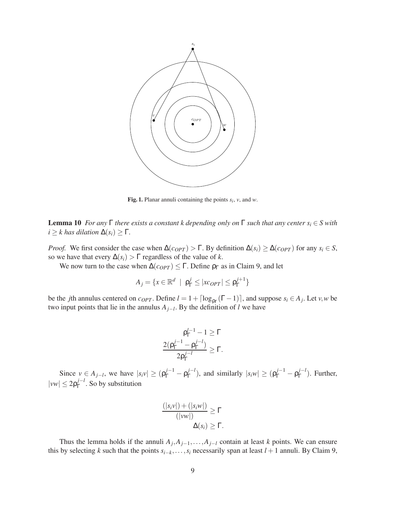

**Fig. 1.** Planar annuli containing the points  $s_i$ ,  $v$ , and  $w$ .

**Lemma 10** *For any*  $\Gamma$  *there exists a constant k depending only on*  $\Gamma$  *such that any center s<sub>i</sub>*  $\in$  *S with*  $i \geq k$  *has dilation*  $\Delta(s_i) \geq \Gamma$ .

*Proof.* We first consider the case when  $\Delta(c_{OPT}) > \Gamma$ . By definition  $\Delta(s_i) \geq \Delta(c_{OPT})$  for any  $s_i \in S$ , so we have that every  $\Delta(s_i)$  >  $\Gamma$  regardless of the value of *k*.

We now turn to the case when  $\Delta(c_{OPT}) \leq \Gamma$ . Define  $\rho_{\Gamma}$  as in Claim 9, and let

$$
A_j = \{ x \in \mathbb{R}^d \mid \mathbf{p}_{\Gamma}^j \leq |x_{OPT}| \leq \mathbf{p}_{\Gamma}^{j+1} \}
$$

be the *j*th annulus centered on  $c_{OPT}$ . Define  $l = 1 + \lceil \log_{p_{\Gamma}}(\Gamma - 1) \rceil$ , and suppose  $s_i \in A_j$ . Let  $v, w$  be two input points that lie in the annulus *Aj*−*<sup>l</sup>* . By the definition of *l* we have

$$
\frac{\rho_{\Gamma}^{j-1} - 1 \geq \Gamma}{\frac{2(\rho_{\Gamma}^{j-1} - \rho_{\Gamma}^{j-l})}{2\rho_{\Gamma}^{j-l}} \geq \Gamma}.
$$

Since  $v \in A_{j-l}$ , we have  $|s_i v| \geq (\rho_{\Gamma}^{j-1} - \rho_{\Gamma}^{j-l})$  $\int_{\Gamma}^{j-l}$ , and similarly  $|s_i w| \ge (\rho_{\Gamma}^{j-1} - \rho_{\Gamma}^{j-l})$  $\int_{\Gamma}^{J-t}$ ). Further,  $|vw| \leq 2\rho_{\Gamma}^{j-l}$  $\int_{\Gamma}^{J-l}$ . So by substitution

$$
\frac{(|s_i v|) + (|s_i w|)}{(|vw|)} \geq \Gamma
$$
  

$$
\Delta(s_i) \geq \Gamma.
$$

Thus the lemma holds if the annuli  $A_j$ , $A_{j-1}$ ,..., $A_{j-1}$  contain at least *k* points. We can ensure this by selecting *k* such that the points  $s_{i-k}, \ldots, s_i$  necessarily span at least  $l + 1$  annuli. By Claim 9,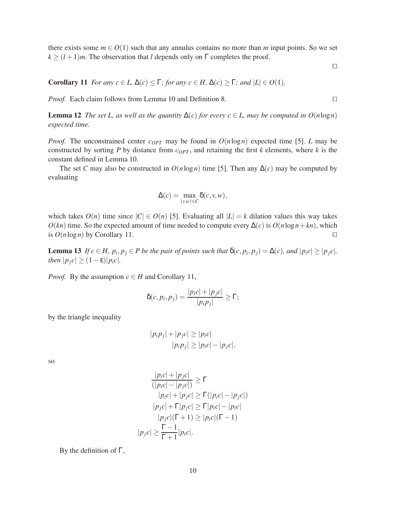there exists some  $m \in O(1)$  such that any annulus contains no more than *m* input points. So we set  $k \ge (l+1)m$ . The observation that *l* depends only on  $\Gamma$  completes the proof.

**Corollary 11** *For any*  $c \in L$ ,  $\Delta(c) \leq \Gamma$ *; for any*  $c \in H$ ,  $\Delta(c) \geq \Gamma$ *; and*  $|L| \in O(1)$ *.* 

*Proof.* Each claim follows from Lemma 10 and Definition 8. □

**Lemma 12** *The set L, as well as the quantity*  $\Delta(c)$  *for every*  $c \in L$ *, may be computed in*  $O(n \log n)$ *expected time.*

*Proof.* The unconstrained center  $c_{OPT}$  may be found in  $O(n \log n)$  expected time [5]. *L* may be constructed by sorting  $P$  by distance from  $c_{OPT}$ , and retaining the first  $k$  elements, where  $k$  is the constant defined in Lemma 10.

The set *C* may also be constructed in  $O(n \log n)$  time [5]. Then any  $\Delta(c)$  may be computed by evaluating

$$
\Delta(c) = \max_{(v,w)\in C} \delta(c,v,w),
$$

which takes  $O(n)$  time since  $|C| \in O(n)$  [5]. Evaluating all  $|L| = k$  dilation values this way takes  $O(kn)$  time. So the expected amount of time needed to compute every  $\Delta(c)$  is  $O(n \log n + kn)$ , which is  $O(n \log n)$  by Corollary 11. □

**Lemma 13** If  $c \in H$ ,  $p_i, p_j \in P$  be the pair of points such that  $\delta(c, p_i, p_j) = \Delta(c)$ , and  $|p_i c| \ge |p_j c|$ , *then*  $|p_j c| \geq (1 - \varepsilon)|p_i c|$ *.* 

*Proof.* By the assumption  $c \in H$  and Corollary 11,

$$
\delta(c, p_i, p_j) = \frac{|p_i c| + |p_j c|}{|p_i p_j|} \ge \Gamma;
$$

by the triangle inequality

$$
|p_i p_j| + |p_j c| \ge |p_i c|
$$
  

$$
|p_i p_j| \ge |p_i c| - |p_j c|,
$$

so

$$
\frac{|p_ic| + |p_jc|}{(|p_ic| - |p_jc|)} \ge \Gamma
$$
  
\n
$$
|p_ic| + |p_jc| \ge \Gamma(|p_ic| - |p_jc|)
$$
  
\n
$$
|p_jc| + \Gamma|p_jc| \ge \Gamma|p_ic| - |p_ic|
$$
  
\n
$$
|p_jc|(\Gamma + 1) \ge |p_ic|(\Gamma - 1)
$$
  
\n
$$
|p_jc| \ge \frac{\Gamma - 1}{\Gamma + 1}|p_ic|.
$$

By the definition of Γ,

⊓⊔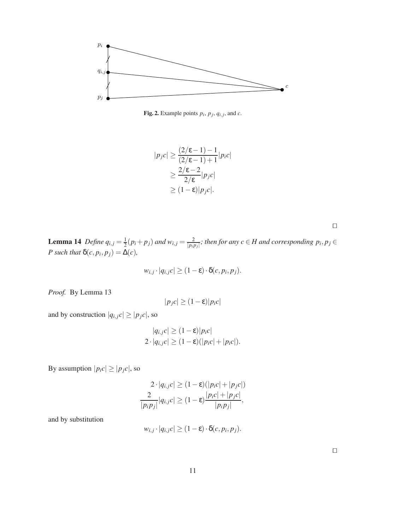

**Fig. 2.** Example points  $p_i$ ,  $p_j$ ,  $q_{i,j}$ , and  $c$ .

$$
|p_j c| \ge \frac{(2/\varepsilon - 1) - 1}{(2/\varepsilon - 1) + 1} |p_i c|
$$
  
\n
$$
\ge \frac{2/\varepsilon - 2}{2/\varepsilon} |p_j c|
$$
  
\n
$$
\ge (1 - \varepsilon) |p_j c|.
$$

⊓⊔

**Lemma 14** *Define*  $q_{i,j} = \frac{1}{2}$  $\frac{1}{2}(p_i+p_j)$  and  $w_{i,j}=\frac{2}{|p_i|}$  $\frac{2}{|p_i p_j|}$ ; then for any  $c \in H$  and corresponding  $p_i, p_j \in$ *P* such that  $\delta(c, p_i, p_j) = \Delta(c)$ ,

$$
w_{i,j} \cdot |q_{i,j}c| \ge (1-\varepsilon) \cdot \delta(c, p_i, p_j).
$$

*Proof.* By Lemma 13

$$
|p_j c| \ge (1 - \varepsilon) |p_i c|
$$

and by construction  $|q_{i,j}c| \geq |p_jc|$ , so

$$
|q_{i,j}c| \ge (1-\varepsilon)|p_ic|
$$
  
2 · |q<sub>i,j</sub>c| \ge (1-\varepsilon)(|p\_ic|+|p\_ic|).

By assumption  $|p_i c| \geq |p_j c|$ , so

$$
2 \cdot |q_{i,j}c| \ge (1 - \varepsilon)(|p_ic| + |p_jc|)
$$
  

$$
\frac{2}{|p_ip_j|}|q_{i,j}c| \ge (1 - \varepsilon)\frac{|p_ic| + |p_jc|}{|p_ip_j|},
$$

and by substitution

$$
w_{i,j} \cdot |q_{i,j}c| \geq (1-\varepsilon) \cdot \delta(c, p_i, p_j).
$$

⊓⊔